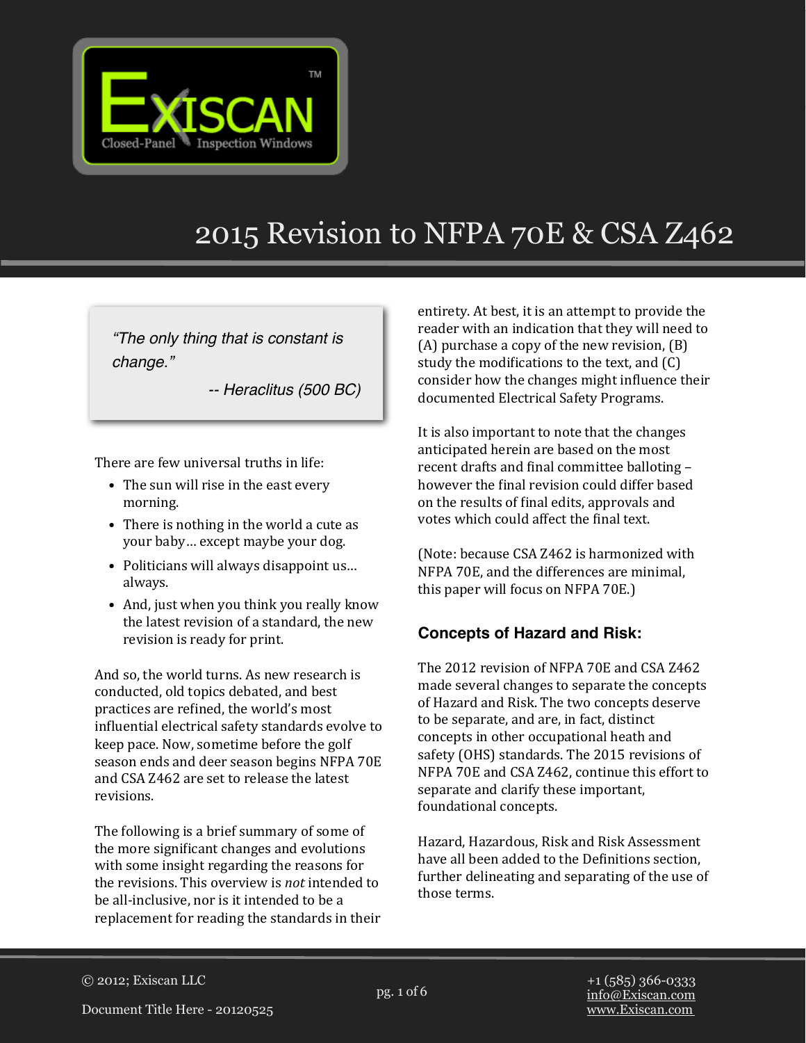

# 2015 Revision to NFPA 70E & CSA Z462

*"The only thing that is constant is change."*

*-- Heraclitus (500 BC)*

There are few universal truths in life:

- The sun will rise in the east every morning.
- There is nothing in the world a cute as your baby... except maybe your dog.
- Politicians will always disappoint us... always.
- And, just when you think you really know the latest revision of a standard, the new revision is ready for print.

And so, the world turns. As new research is conducted, old topics debated, and best practices are refined, the world's most influential electrical safety standards evolve to keep pace. Now, sometime before the golf season ends and deer season begins NFPA 70E and CSA 7462 are set to release the latest revisions. 

The following is a brief summary of some of the more significant changes and evolutions with some insight regarding the reasons for the revisions. This overview is *not* intended to be all-inclusive, nor is it intended to be a replacement for reading the standards in their

entirety. At best, it is an attempt to provide the reader with an indication that they will need to  $(A)$  purchase a copy of the new revision,  $(B)$ study the modifications to the text, and  $(C)$ consider how the changes might influence their documented Electrical Safety Programs.

It is also important to note that the changes anticipated herein are based on the most recent drafts and final committee balloting  $$ however the final revision could differ based on the results of final edits, approvals and votes which could affect the final text.

(Note: because CSA Z462 is harmonized with NFPA 70E, and the differences are minimal, this paper will focus on NFPA  $70E$ .

## **Concepts of Hazard and Risk:**

The 2012 revision of NFPA 70E and CSA Z462 made several changes to separate the concepts of Hazard and Risk. The two concepts deserve to be separate, and are, in fact, distinct concepts in other occupational heath and safety (OHS) standards. The 2015 revisions of NFPA 70E and CSA Z462, continue this effort to separate and clarify these important, foundational concepts.

Hazard, Hazardous, Risk and Risk Assessment have all been added to the Definitions section, further delineating and separating of the use of those terms.

pg. 1 of 6 © 2012; Exiscan LLC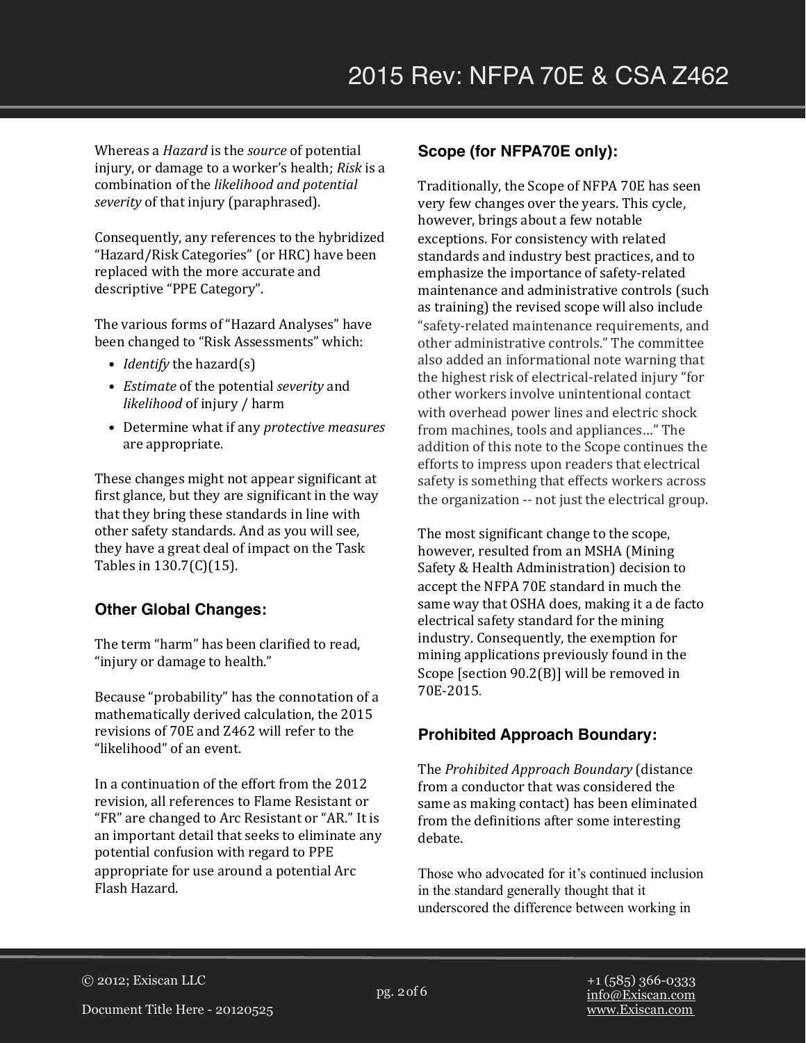Whereas a *Hazard* is the *source* of potential injury, or damage to a worker's health; *Risk* is a combination of the *likelihood* and *potential* severity of that injury (paraphrased).

Consequently, any references to the hybridized "Hazard/Risk Categories" (or HRC) have been replaced with the more accurate and descriptive "PPE Category".

The various forms of "Hazard Analyses" have been changed to "Risk Assessments" which:

- *Identify* the hazard(s)
- *Estimate* of the potential *severity* and *likelihood* of injury / harm
- Determine what if any *protective measures* are appropriate.

These changes might not appear significant at first glance, but they are significant in the way that they bring these standards in line with other safety standards. And as you will see, they have a great deal of impact on the Task Tables in  $130.7(C)(15)$ .

#### **Other Global Changes:**

The term "harm" has been clarified to read. "injury or damage to health."

Because "probability" has the connotation of a mathematically derived calculation, the 2015 revisions of 70E and 7.462 will refer to the "likelihood" of an event.

In a continuation of the effort from the 2012 revision, all references to Flame Resistant or "FR" are changed to Arc Resistant or "AR." It is an important detail that seeks to eliminate any potential confusion with regard to PPE appropriate for use around a potential Arc Flash Hazard. 

#### **Scope (for NFPA70E only):**

Traditionally, the Scope of NFPA 70E has seen very few changes over the years. This cycle, however, brings about a few notable exceptions. For consistency with related standards and industry best practices, and to emphasize the importance of safety-related maintenance and administrative controls (such as training) the revised scope will also include "safety-related maintenance requirements, and other administrative controls." The committee also added an informational note warning that the highest risk of electrical-related injury "for other workers involve unintentional contact with overhead power lines and electric shock from machines, tools and appliances..." The addition of this note to the Scope continues the efforts to impress upon readers that electrical safety is something that effects workers across the organization -- not just the electrical group.

The most significant change to the scope, however, resulted from an MSHA (Mining Safety & Health Administration) decision to accept the NFPA 70E standard in much the same way that OSHA does, making it a de facto electrical safety standard for the mining industry. Consequently, the exemption for mining applications previously found in the Scope  $[section\ 90.2(B)]$  will be removed in 70E-2015.

#### **Prohibited Approach Boundary:**

The *Prohibited Approach Boundary* (distance from a conductor that was considered the same as making contact) has been eliminated from the definitions after some interesting debate. 

Those who advocated for it's continued inclusion in the standard generally thought that it underscored the difference between working in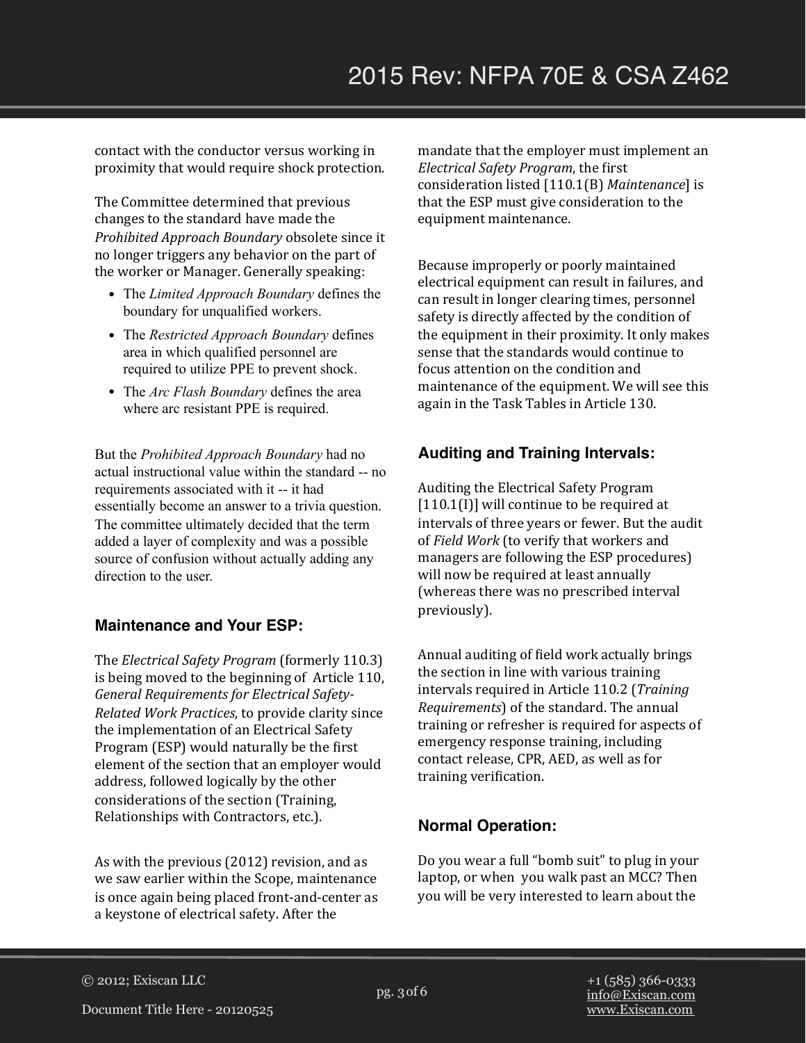contact with the conductor versus working in proximity that would require shock protection.

The Committee determined that previous changes to the standard have made the *Prohibited Approach Boundary* obsolete since it no longer triggers any behavior on the part of the worker or Manager. Generally speaking:

- The *Limited Approach Boundary* defines the boundary for unqualified workers.
- The *Restricted Approach Boundary* defines area in which qualified personnel are required to utilize PPE to prevent shock.
- The *Arc Flash Boundary* defines the area where arc resistant PPE is required.

But the *Prohibited Approach Boundary* had no actual instructional value within the standard -- no requirements associated with it -- it had essentially become an answer to a trivia question. The committee ultimately decided that the term added a layer of complexity and was a possible source of confusion without actually adding any direction to the user.

#### **Maintenance and Your ESP:**

The *Electrical Safety Program* (formerly 110.3) is being moved to the beginning of Article 110, General Requirements for Electrical Safety-*Related Work Practices,* to provide clarity since the implementation of an Electrical Safety Program (ESP) would naturally be the first element of the section that an employer would address, followed logically by the other considerations of the section (Training, Relationships with Contractors, etc.).

As with the previous (2012) revision, and as we saw earlier within the Scope, maintenance is once again being placed front-and-center as a keystone of electrical safety. After the

mandate that the employer must implement an *Electrical Safety Program*, the first consideration listed [110.1(B) *Maintenance*] is that the ESP must give consideration to the equipment maintenance.

Because improperly or poorly maintained electrical equipment can result in failures, and can result in longer clearing times, personnel safety is directly affected by the condition of the equipment in their proximity. It only makes sense that the standards would continue to focus attention on the condition and maintenance of the equipment. We will see this again in the Task Tables in Article 130.

#### **Auditing and Training Intervals:**

Auditing the Electrical Safety Program  $[110.1(I)]$  will continue to be required at intervals of three years or fewer. But the audit of *Field Work* (to verify that workers and managers are following the ESP procedures) will now be required at least annually (whereas there was no prescribed interval previously). 

Annual auditing of field work actually brings the section in line with various training intervals required in Article 110.2 (*Training Requirements*) of the standard. The annual training or refresher is required for aspects of emergency response training, including contact release, CPR, AED, as well as for training verification.

## **Normal Operation:**

Do you wear a full "bomb suit" to plug in your laptop, or when you walk past an MCC? Then you will be very interested to learn about the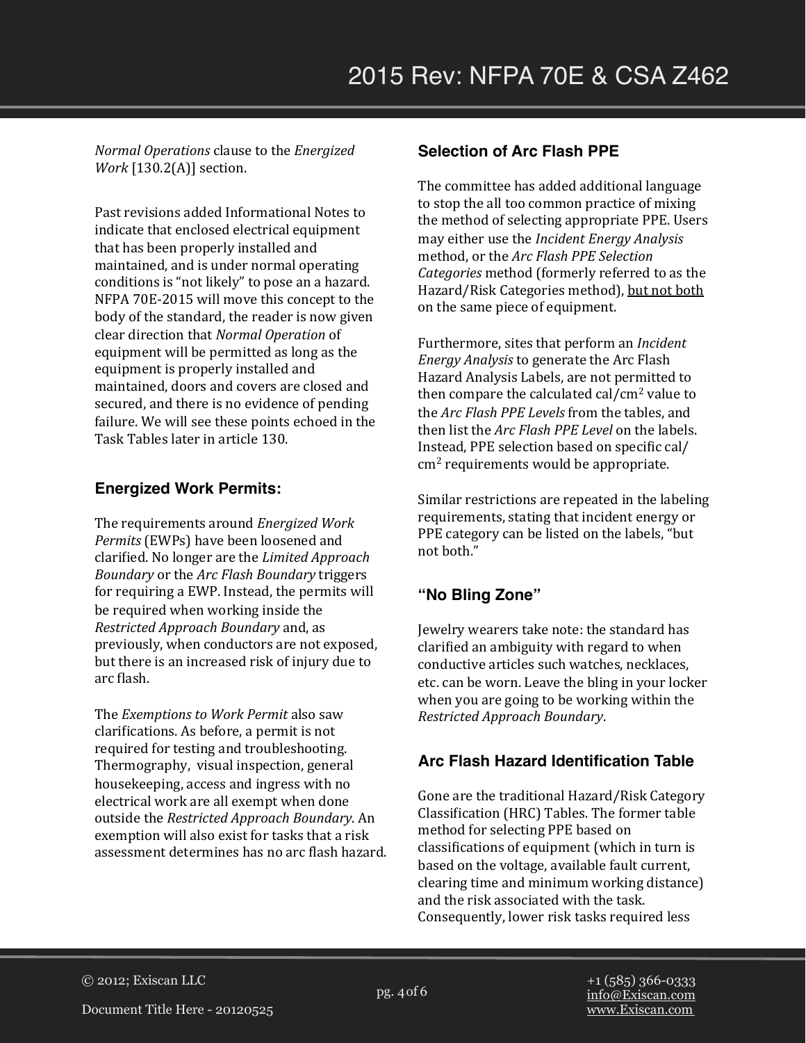*Normal Operations* clause to the *Energized Work* [130.2(A)] section.

Past revisions added Informational Notes to indicate that enclosed electrical equipment that has been properly installed and maintained, and is under normal operating conditions is "not likely" to pose an a hazard. NFPA 70E-2015 will move this concept to the body of the standard, the reader is now given clear direction that *Normal Operation* of equipment will be permitted as long as the equipment is properly installed and maintained, doors and covers are closed and secured, and there is no evidence of pending failure. We will see these points echoed in the Task Tables later in article 130.

#### **Energized Work Permits:**

The requirements around *Energized Work Permits* (EWPs) have been loosened and clarified. No longer are the *Limited Approach Boundary* or the *Arc Flash Boundary* triggers for requiring a EWP. Instead, the permits will be required when working inside the *Restricted Approach Boundary* and, as previously, when conductors are not exposed, but there is an increased risk of injury due to arc flash.

The *Exemptions to Work Permit* also saw clarifications. As before, a permit is not required for testing and troubleshooting. Thermography, visual inspection, general housekeeping, access and ingress with no electrical work are all exempt when done outside the *Restricted Approach Boundary*. An exemption will also exist for tasks that a risk assessment determines has no arc flash hazard.

#### **Selection of Arc Flash PPE**

The committee has added additional language to stop the all too common practice of mixing the method of selecting appropriate PPE. Users may either use the *Incident Energy Analysis* method, or the *Arc Flash PPE Selection Categories* method (formerly referred to as the Hazard/Risk Categories method), but not both on the same piece of equipment.

Furthermore, sites that perform an *Incident Energy Analysis* to generate the Arc Flash Hazard Analysis Labels, are not permitted to then compare the calculated  $cal/cm<sup>2</sup>$  value to the *Arc Flash PPE Levels* from the tables, and then list the *Arc Flash PPE Level* on the labels. Instead, PPE selection based on specific cal/  $cm<sup>2</sup>$  requirements would be appropriate.

Similar restrictions are repeated in the labeling requirements, stating that incident energy or PPE category can be listed on the labels, "but not both."

## **"No Bling Zone"**

Jewelry wearers take note: the standard has clarified an ambiguity with regard to when conductive articles such watches, necklaces, etc. can be worn. Leave the bling in your locker when you are going to be working within the *Restricted Approach Boundary*.

#### **Arc Flash Hazard Identification Table**

Gone are the traditional Hazard/Risk Category Classification (HRC) Tables. The former table method for selecting PPE based on classifications of equipment (which in turn is based on the voltage, available fault current, clearing time and minimum working distance) and the risk associated with the task. Consequently, lower risk tasks required less

pg. 4 of 6 © 2012; Exiscan LLC

Document Title Here - 20120525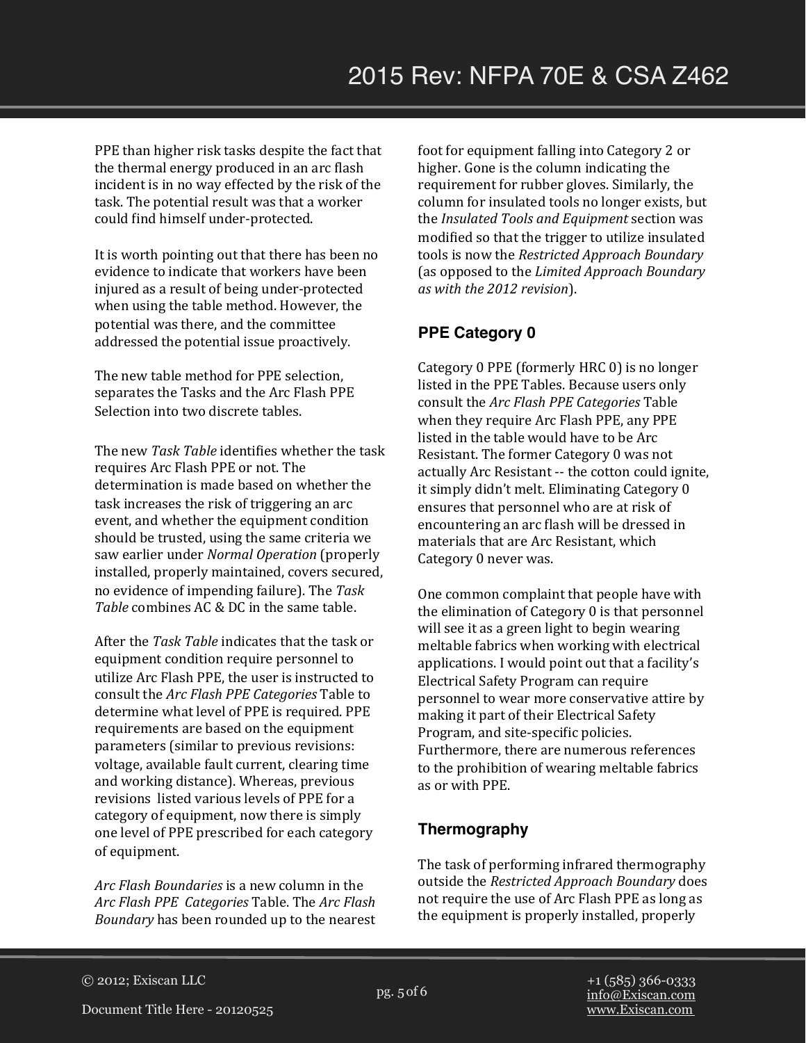PPE than higher risk tasks despite the fact that the thermal energy produced in an arc flash incident is in no way effected by the risk of the task. The potential result was that a worker could find himself under-protected.

It is worth pointing out that there has been no evidence to indicate that workers have been injured as a result of being under-protected when using the table method. However, the potential was there, and the committee addressed the potential issue proactively.

The new table method for PPE selection, separates the Tasks and the Arc Flash PPE Selection into two discrete tables.

The new Task Table identifies whether the task requires Arc Flash PPE or not. The determination is made based on whether the task increases the risk of triggering an arc event, and whether the equipment condition should be trusted, using the same criteria we saw earlier under *Normal Operation* (properly installed, properly maintained, covers secured, no evidence of impending failure)*.* The *Task*  Table combines AC & DC in the same table.

After the *Task Table* indicates that the task or equipment condition require personnel to utilize Arc Flash PPE, the user is instructed to consult the *Arc Flash PPE Categories* Table to determine what level of PPE is required. PPE requirements are based on the equipment parameters (similar to previous revisions: voltage, available fault current, clearing time and working distance). Whereas, previous revisions listed various levels of PPE for a category of equipment, now there is simply one level of PPE prescribed for each category of equipment.

*Arc Flash Boundaries* is a new column in the *Arc Flash PPE Categories* Table. The *Arc Flash Boundary* has been rounded up to the nearest foot for equipment falling into Category 2 or higher. Gone is the column indicating the requirement for rubber gloves. Similarly, the column for insulated tools no longer exists, but the *Insulated Tools and Equipment* section was modified so that the trigger to utilize insulated tools is now the *Restricted Approach Boundary* (as opposed to the *Limited Approach Boundary as with the 2012 revision*). 

## **PPE Category 0**

Category 0 PPE (formerly HRC 0) is no longer listed in the PPE Tables. Because users only consult the *Arc Flash PPE Categories* Table when they require Arc Flash PPE, any PPE listed in the table would have to be Arc Resistant. The former Category 0 was not actually Arc Resistant -- the cotton could ignite, it simply didn't melt. Eliminating Category 0 ensures that personnel who are at risk of encountering an arc flash will be dressed in materials that are Arc Resistant, which Category 0 never was.

One common complaint that people have with the elimination of Category  $0$  is that personnel will see it as a green light to begin wearing meltable fabrics when working with electrical applications. I would point out that a facility's Electrical Safety Program can require personnel to wear more conservative attire by making it part of their Electrical Safety Program, and site-specific policies. Furthermore, there are numerous references to the prohibition of wearing meltable fabrics as or with PPE.

## **Thermography**

The task of performing infrared thermography outside the *Restricted Approach Boundary* does not require the use of Arc Flash PPE as long as the equipment is properly installed, properly